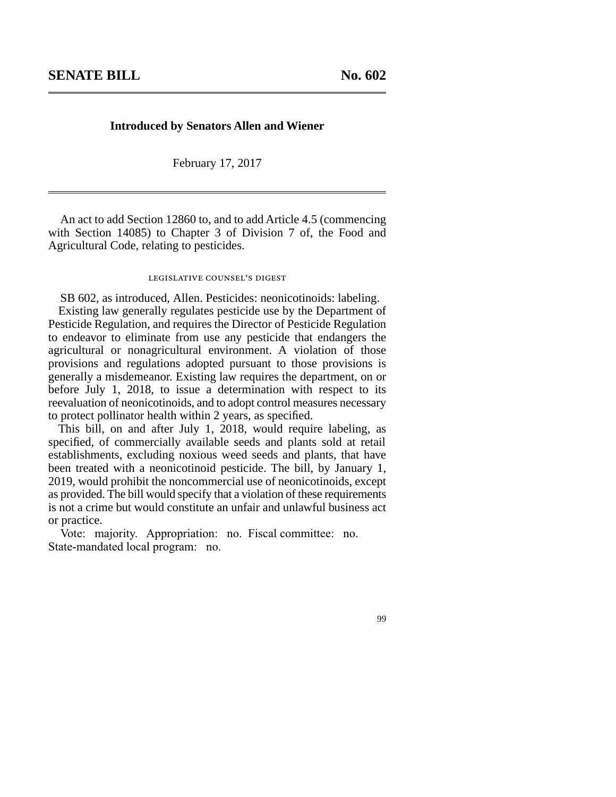## **Introduced by Senators Allen and Wiener**

February 17, 2017

An act to add Section 12860 to, and to add Article 4.5 (commencing with Section 14085) to Chapter 3 of Division 7 of, the Food and Agricultural Code, relating to pesticides.

## legislative counsel's digest

SB 602, as introduced, Allen. Pesticides: neonicotinoids: labeling. Existing law generally regulates pesticide use by the Department of Pesticide Regulation, and requires the Director of Pesticide Regulation to endeavor to eliminate from use any pesticide that endangers the agricultural or nonagricultural environment. A violation of those provisions and regulations adopted pursuant to those provisions is generally a misdemeanor. Existing law requires the department, on or before July 1, 2018, to issue a determination with respect to its reevaluation of neonicotinoids, and to adopt control measures necessary to protect pollinator health within 2 years, as specified.

This bill, on and after July 1, 2018, would require labeling, as specified, of commercially available seeds and plants sold at retail establishments, excluding noxious weed seeds and plants, that have been treated with a neonicotinoid pesticide. The bill, by January 1, 2019, would prohibit the noncommercial use of neonicotinoids, except as provided. The bill would specify that a violation of these requirements is not a crime but would constitute an unfair and unlawful business act or practice.

Vote: majority. Appropriation: no. Fiscal committee: no. State-mandated local program: no.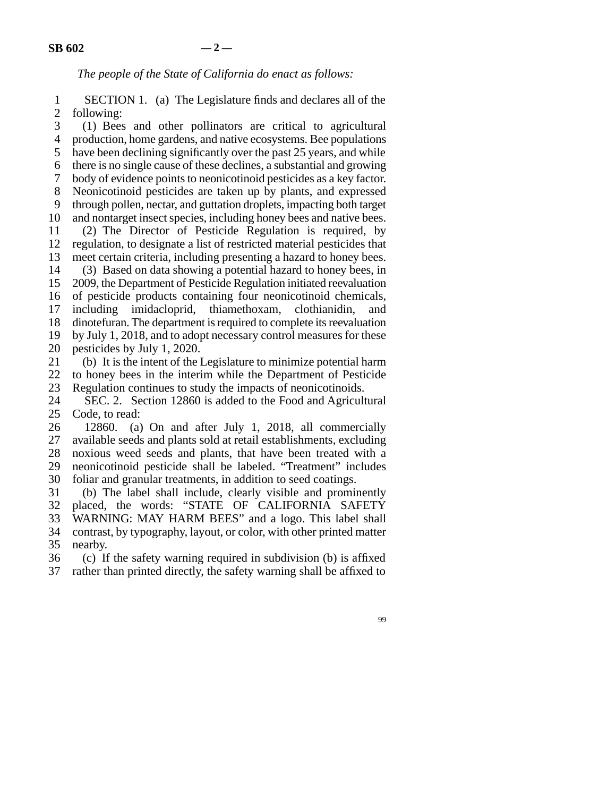*The people of the State of California do enact as follows:*

1 SECTION 1. (a) The Legislature finds and declares all of the 2 following:

3 (1) Bees and other pollinators are critical to agricultural 4 production, home gardens, and native ecosystems. Bee populations 5 have been declining significantly over the past 25 years, and while line 6 there is no single cause of these declines, a substantial and growing 7 body of evidence points to neonicotinoid pesticides as a key factor. 8 Neonicotinoid pesticides are taken up by plants, and expressed 9 through pollen, nectar, and guttation droplets, impacting both target 10 and nontarget insect species, including honey bees and native bees. line 11 (2) The Director of Pesticide Regulation is required, by 12 regulation, to designate a list of restricted material pesticides that 13 meet certain criteria, including presenting a hazard to honey bees. 14 (3) Based on data showing a potential hazard to honey bees, in 15 2009, the Department of Pesticide Regulation initiated reevaluation 16 of pesticide products containing four neonicotinoid chemicals, 17 including imidacloprid, thiamethoxam, clothianidin, and 18 dinotefuran. The department is required to complete its reevaluation 19 by July 1, 2018, and to adopt necessary control measures for these 20 pesticides by July 1, 2020.

21 (b) It is the intent of the Legislature to minimize potential harm

22 to honey bees in the interim while the Department of Pesticide<br>23 Regulation continues to study the impacts of neonicotinoids. Regulation continues to study the impacts of neonicotinoids.

24 SEC. 2. Section 12860 is added to the Food and Agricultural 25 Code, to read:

 $26$  12860. (a) On and after July 1, 2018, all commercially 27 available seeds and plants sold at retail establishments, excluding 28 noxious weed seeds and plants, that have been treated with a line 29 neonicotinoid pesticide shall be labeled. "Treatment" includes 30 foliar and granular treatments, in addition to seed coatings.

31 (b) The label shall include, clearly visible and prominently 32 placed, the words: "STATE OF CALIFORNIA SAFETY 33 WARNING: MAY HARM BEES" and a logo. This label shall 34 contrast, by typography, layout, or color, with other printed matter

35 nearby.

 $36$  (c) If the safety warning required in subdivision (b) is affixed

37 rather than printed directly, the safety warning shall be affixed to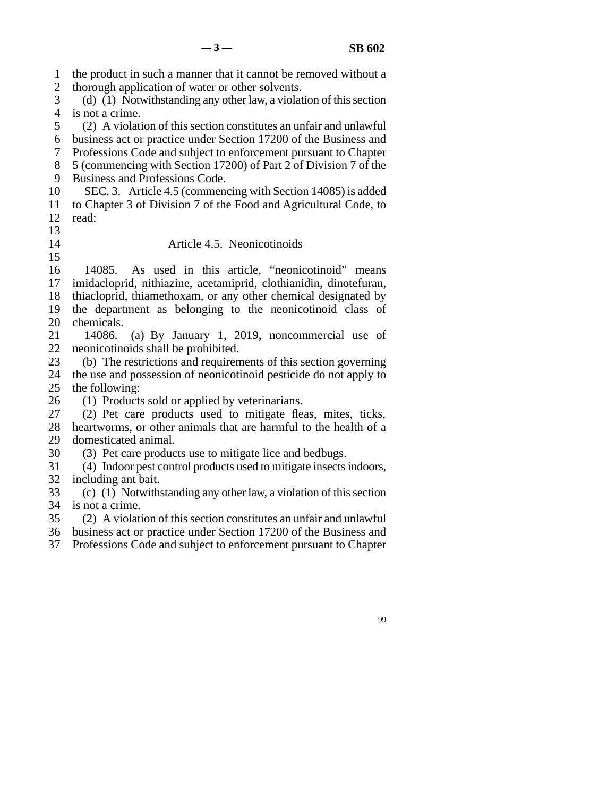line 1 the product in such a manner that it cannot be removed without a 2 thorough application of water or other solvents. 3 (d) (1) Notwithstanding any other law, a violation of this section 4 is not a crime. 5 (2) A violation of this section constitutes an unfair and unlawful 6 business act or practice under Section 17200 of the Business and line 7 Professions Code and subject to enforcement pursuant to Chapter 8 5 (commencing with Section 17200) of Part 2 of Division 7 of the 9 Business and Professions Code. 10 SEC. 3. Article 4.5 (commencing with Section 14085) is added 11 to Chapter 3 of Division 7 of the Food and Agricultural Code, to 12 read: line 13 14 Article 4.5. Neonicotinoids  $15$ 16 14085. As used in this article, "neonicotinoid" means 17 imidacloprid, nithiazine, acetamiprid, clothianidin, dinotefuran, 18 thiacloprid, thiamethoxam, or any other chemical designated by 19 the department as belonging to the neonicotinoid class of 20 chemicals. 21 14086. (a) By January 1, 2019, noncommercial use of 22 neonicotinoids shall be prohibited. 23 (b) The restrictions and requirements of this section governing 24 the use and possession of neonicotinoid pesticide do not apply to 25 the following: the following: 26 (1) Products sold or applied by veterinarians.<br>27 (2) Pet care products used to mitigate fle (2) Pet care products used to mitigate fleas, mites, ticks, 28 heartworms, or other animals that are harmful to the health of a 29 domesticated animal. 30 (3) Pet care products use to mitigate lice and bedbugs. 31 (4) Indoor pest control products used to mitigate insects indoors, 32 including ant bait. 33 (c) (1) Notwithstanding any other law, a violation of this section 34 is not a crime. 35 (2) A violation of this section constitutes an unfair and unlawful 36 business act or practice under Section 17200 of the Business and 37 Professions Code and subject to enforcement pursuant to Chapter